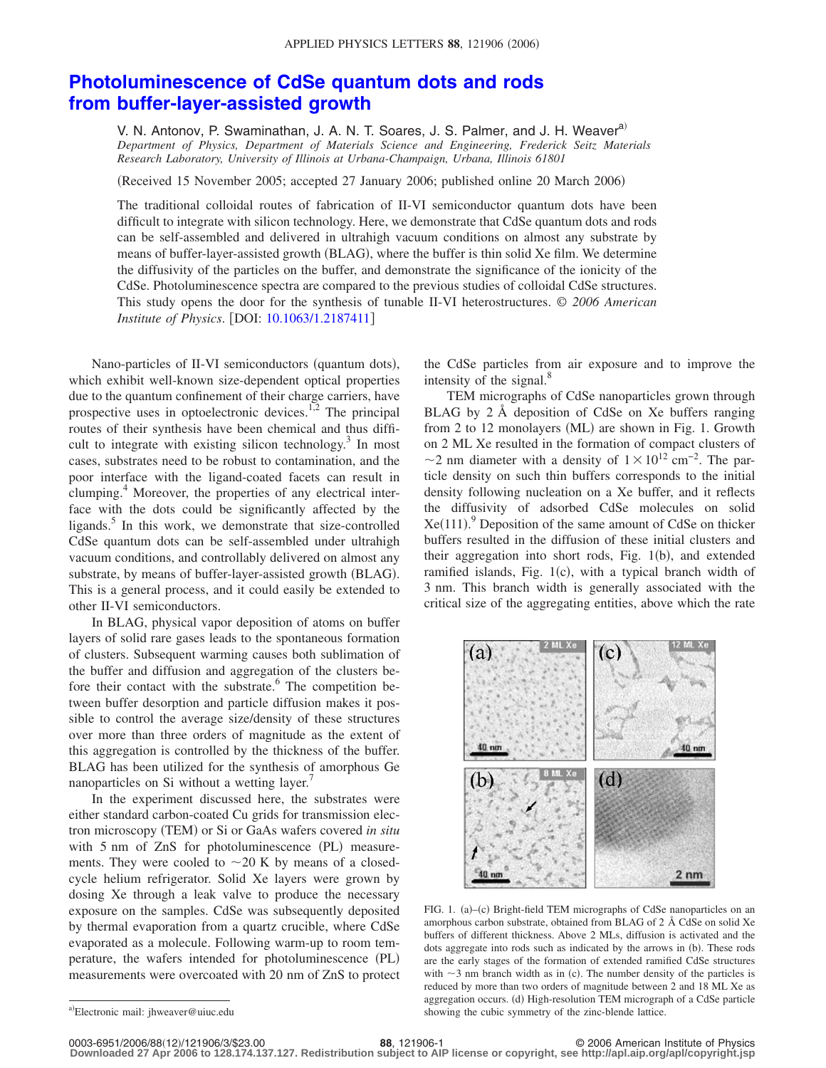## **[Photoluminescence of CdSe quantum dots and rods](http://dx.doi.org/10.1063/1.2187411) [from buffer-layer-assisted growth](http://dx.doi.org/10.1063/1.2187411)**

V. N. Antonov, P. Swaminathan, J. A. N. T. Soares, J. S. Palmer, and J. H. Weaver<sup>a)</sup> *Department of Physics, Department of Materials Science and Engineering, Frederick Seitz Materials Research Laboratory, University of Illinois at Urbana-Champaign, Urbana, Illinois 61801*

(Received 15 November 2005; accepted 27 January 2006; published online 20 March 2006)

The traditional colloidal routes of fabrication of II-VI semiconductor quantum dots have been difficult to integrate with silicon technology. Here, we demonstrate that CdSe quantum dots and rods can be self-assembled and delivered in ultrahigh vacuum conditions on almost any substrate by means of buffer-layer-assisted growth (BLAG), where the buffer is thin solid Xe film. We determine the diffusivity of the particles on the buffer, and demonstrate the significance of the ionicity of the CdSe. Photoluminescence spectra are compared to the previous studies of colloidal CdSe structures. This study opens the door for the synthesis of tunable II-VI heterostructures. © *2006 American Institute of Physics.* [DOI: [10.1063/1.2187411](http://dx.doi.org/10.1063/1.2187411)]

Nano-particles of II-VI semiconductors (quantum dots), which exhibit well-known size-dependent optical properties due to the quantum confinement of their charge carriers, have prospective uses in optoelectronic devices.<sup>1,2</sup> The principal routes of their synthesis have been chemical and thus difficult to integrate with existing silicon technology.<sup>3</sup> In most cases, substrates need to be robust to contamination, and the poor interface with the ligand-coated facets can result in clumping.<sup>4</sup> Moreover, the properties of any electrical interface with the dots could be significantly affected by the ligands. $5$  In this work, we demonstrate that size-controlled CdSe quantum dots can be self-assembled under ultrahigh vacuum conditions, and controllably delivered on almost any substrate, by means of buffer-layer-assisted growth (BLAG). This is a general process, and it could easily be extended to other II-VI semiconductors.

In BLAG, physical vapor deposition of atoms on buffer layers of solid rare gases leads to the spontaneous formation of clusters. Subsequent warming causes both sublimation of the buffer and diffusion and aggregation of the clusters before their contact with the substrate. $6$  The competition between buffer desorption and particle diffusion makes it possible to control the average size/density of these structures over more than three orders of magnitude as the extent of this aggregation is controlled by the thickness of the buffer. BLAG has been utilized for the synthesis of amorphous Ge nanoparticles on Si without a wetting layer.<sup>7</sup>

In the experiment discussed here, the substrates were either standard carbon-coated Cu grids for transmission electron microscopy (TEM) or Si or GaAs wafers covered *in situ* with 5 nm of ZnS for photoluminescence (PL) measurements. They were cooled to  $\sim$  20 K by means of a closedcycle helium refrigerator. Solid Xe layers were grown by dosing Xe through a leak valve to produce the necessary exposure on the samples. CdSe was subsequently deposited by thermal evaporation from a quartz crucible, where CdSe evaporated as a molecule. Following warm-up to room temperature, the wafers intended for photoluminescence (PL) measurements were overcoated with 20 nm of ZnS to protect

the CdSe particles from air exposure and to improve the intensity of the signal. $8$ 

TEM micrographs of CdSe nanoparticles grown through BLAG by 2 Å deposition of CdSe on Xe buffers ranging from 2 to 12 monolayers (ML) are shown in Fig. 1. Growth on 2 ML Xe resulted in the formation of compact clusters of ~2 nm diameter with a density of  $1 \times 10^{12}$  cm<sup>-2</sup>. The particle density on such thin buffers corresponds to the initial density following nucleation on a Xe buffer, and it reflects the diffusivity of adsorbed CdSe molecules on solid  $Xe(111)$ .<sup>9</sup> Deposition of the same amount of CdSe on thicker buffers resulted in the diffusion of these initial clusters and their aggregation into short rods, Fig. 1(b), and extended ramified islands, Fig.  $1(c)$ , with a typical branch width of 3 nm. This branch width is generally associated with the critical size of the aggregating entities, above which the rate



FIG. 1. (a)-(c) Bright-field TEM micrographs of CdSe nanoparticles on an amorphous carbon substrate, obtained from BLAG of 2 Å CdSe on solid Xe buffers of different thickness. Above 2 MLs, diffusion is activated and the dots aggregate into rods such as indicated by the arrows in (b). These rods are the early stages of the formation of extended ramified CdSe structures with  $\sim$ 3 nm branch width as in (c). The number density of the particles is reduced by more than two orders of magnitude between 2 and 18 ML Xe as aggregation occurs. (d) High-resolution TEM micrograph of a CdSe particle showing the cubic symmetry of the zinc-blende lattice.

a)<br>Electronic mail: jhweaver@uiuc.edu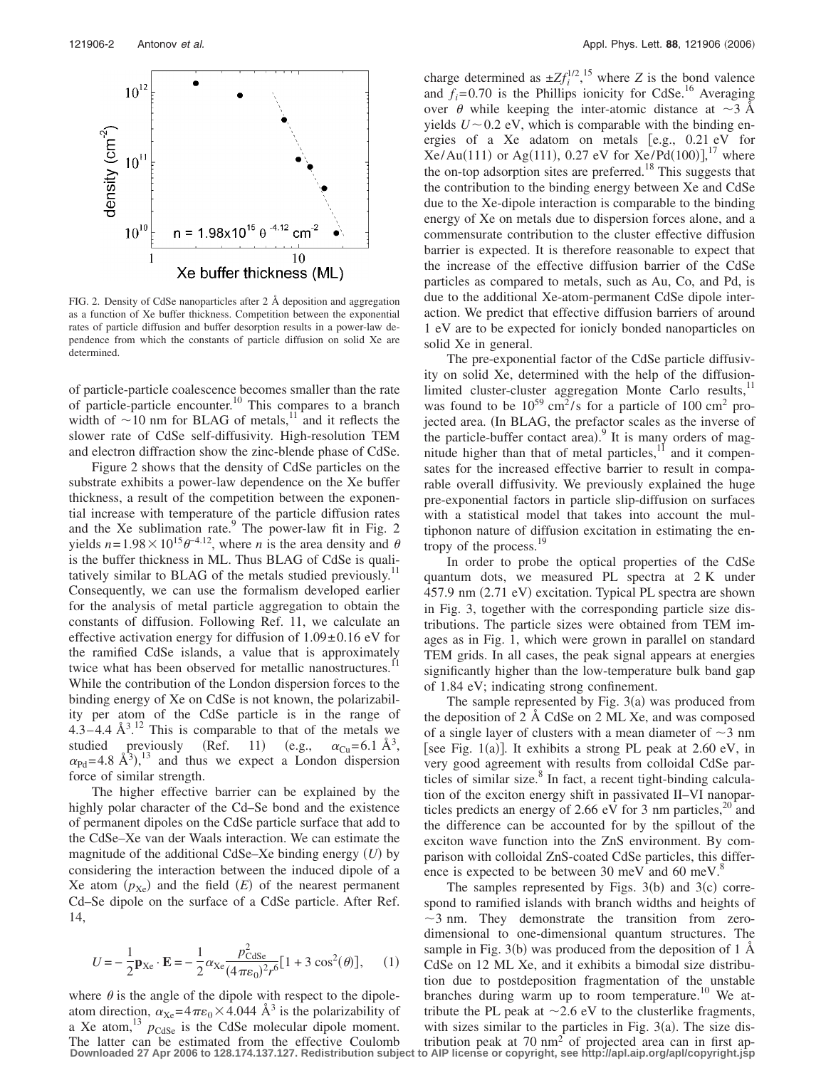

FIG. 2. Density of CdSe nanoparticles after 2 Å deposition and aggregation as a function of Xe buffer thickness. Competition between the exponential rates of particle diffusion and buffer desorption results in a power-law dependence from which the constants of particle diffusion on solid Xe are determined.

of particle-particle coalescence becomes smaller than the rate of particle-particle encounter.10 This compares to a branch width of  $\sim$  10 nm for BLAG of metals,<sup>11</sup> and it reflects the slower rate of CdSe self-diffusivity. High-resolution TEM and electron diffraction show the zinc-blende phase of CdSe.

Figure 2 shows that the density of CdSe particles on the substrate exhibits a power-law dependence on the Xe buffer thickness, a result of the competition between the exponential increase with temperature of the particle diffusion rates and the Xe sublimation rate. $9$  The power-law fit in Fig. 2 yields  $n = 1.98 \times 10^{15} \theta^{-4.12}$ , where *n* is the area density and  $\theta$ is the buffer thickness in ML. Thus BLAG of CdSe is qualitatively similar to BLAG of the metals studied previously.<sup>11</sup> Consequently, we can use the formalism developed earlier for the analysis of metal particle aggregation to obtain the constants of diffusion. Following Ref. 11, we calculate an effective activation energy for diffusion of  $1.09 \pm 0.16$  eV for the ramified CdSe islands, a value that is approximately twice what has been observed for metallic nanostructures. While the contribution of the London dispersion forces to the binding energy of Xe on CdSe is not known, the polarizability per atom of the CdSe particle is in the range of  $4.3 - 4.4$  Å $3.12$  This is comparable to that of the metals we studied previously (Ref. 11) (e.g., (e.g.,  $\alpha_{Cu} = 6.1 \text{ Å}^3$ ,  $\alpha_{\text{Pd}} = 4.8 \text{ Å}^3$ ,  $^{13}$  and thus we expect a London dispersion force of similar strength.

The higher effective barrier can be explained by the highly polar character of the Cd–Se bond and the existence of permanent dipoles on the CdSe particle surface that add to the CdSe–Xe van der Waals interaction. We can estimate the magnitude of the additional CdSe–Xe binding energy (U) by considering the interaction between the induced dipole of a Xe atom  $(p_{\text{Xe}})$  and the field  $(E)$  of the nearest permanent Cd–Se dipole on the surface of a CdSe particle. After Ref. 14,

$$
U = -\frac{1}{2}\mathbf{p}_{\text{Xe}} \cdot \mathbf{E} = -\frac{1}{2}\alpha_{\text{Xe}} \frac{p_{\text{CdSe}}^2}{(4\pi\epsilon_0)^2 r^6} [1 + 3\cos^2(\theta)],\qquad(1)
$$

where  $\theta$  is the angle of the dipole with respect to the dipoleatom direction,  $\alpha_{\text{Xe}} = 4\pi\epsilon_0 \times 4.044 \text{ Å}^3$  is the polarizability of a Xe atom,  $13 p_{\text{CdSe}}$  is the CdSe molecular dipole moment. The latter can be estimated from the effective Coulomb **Downloaded 27 Apr 2006 to 128.174.137.127. Redistribution subject to AIP license or copyright, see http://apl.aip.org/apl/copyright.jsp**

charge determined as  $\pm Z f_i^{1/2}$ , <sup>15</sup> where *Z* is the bond valence and  $f_i$ =0.70 is the Phillips ionicity for CdSe.<sup>16</sup> Averaging over  $\theta$  while keeping the inter-atomic distance at  $\sim$ 3 Å yields  $U \sim 0.2$  eV, which is comparable with the binding energies of a Xe adatom on metals [e.g., 0.21 eV for  $Xe/Au(111)$  or Ag(111), 0.27 eV for  $Xe/Pd(100)$ ],<sup>17</sup> where the on-top adsorption sites are preferred.<sup>18</sup> This suggests that the contribution to the binding energy between Xe and CdSe due to the Xe-dipole interaction is comparable to the binding energy of Xe on metals due to dispersion forces alone, and a commensurate contribution to the cluster effective diffusion barrier is expected. It is therefore reasonable to expect that the increase of the effective diffusion barrier of the CdSe particles as compared to metals, such as Au, Co, and Pd, is due to the additional Xe-atom-permanent CdSe dipole interaction. We predict that effective diffusion barriers of around 1 eV are to be expected for ionicly bonded nanoparticles on solid Xe in general.

The pre-exponential factor of the CdSe particle diffusivity on solid Xe, determined with the help of the diffusionlimited cluster-cluster aggregation Monte Carlo results,<sup>11</sup> was found to be  $10^{59}$  cm<sup>2</sup>/s for a particle of 100 cm<sup>2</sup> projected area. (In BLAG, the prefactor scales as the inverse of the particle-buffer contact area). It is many orders of magnitude higher than that of metal particles, $\frac{11}{11}$  and it compensates for the increased effective barrier to result in comparable overall diffusivity. We previously explained the huge pre-exponential factors in particle slip-diffusion on surfaces with a statistical model that takes into account the multiphonon nature of diffusion excitation in estimating the entropy of the process.<sup>19</sup>

In order to probe the optical properties of the CdSe quantum dots, we measured PL spectra at 2 K under 457.9 nm (2.71 eV) excitation. Typical PL spectra are shown in Fig. 3, together with the corresponding particle size distributions. The particle sizes were obtained from TEM images as in Fig. 1, which were grown in parallel on standard TEM grids. In all cases, the peak signal appears at energies significantly higher than the low-temperature bulk band gap of 1.84 eV; indicating strong confinement.

The sample represented by Fig.  $3(a)$  was produced from the deposition of 2 Å CdSe on 2 ML Xe, and was composed of a single layer of clusters with a mean diameter of  $\sim$ 3 nm [see Fig. 1(a)]. It exhibits a strong PL peak at 2.60 eV, in very good agreement with results from colloidal CdSe particles of similar size. $8 \text{ In fact, a recent tight-binding calcula-}$ tion of the exciton energy shift in passivated II–VI nanoparticles predicts an energy of 2.66 eV for 3 nm particles, $^{20}$  and the difference can be accounted for by the spillout of the exciton wave function into the ZnS environment. By comparison with colloidal ZnS-coated CdSe particles, this difference is expected to be between 30 meV and 60 meV.<sup>8</sup>

The samples represented by Figs.  $3(b)$  and  $3(c)$  correspond to ramified islands with branch widths and heights of  $\sim$ 3 nm. They demonstrate the transition from zerodimensional to one-dimensional quantum structures. The sample in Fig. 3(b) was produced from the deposition of 1 Å CdSe on 12 ML Xe, and it exhibits a bimodal size distribution due to postdeposition fragmentation of the unstable branches during warm up to room temperature.<sup>10</sup> We attribute the PL peak at  $\sim$  2.6 eV to the clusterlike fragments, with sizes similar to the particles in Fig.  $3(a)$ . The size distribution peak at 70  $\text{nm}^2$  of projected area can in first ap-